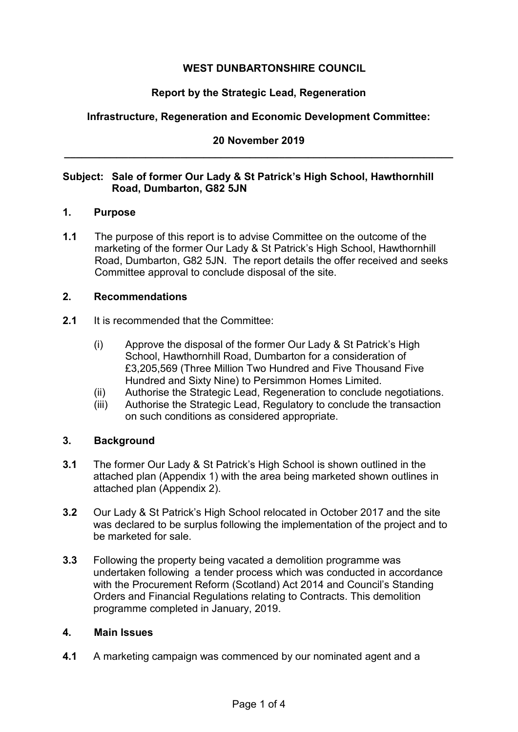# **WEST DUNBARTONSHIRE COUNCIL**

## **Report by the Strategic Lead, Regeneration**

## **Infrastructure, Regeneration and Economic Development Committee:**

## **20 November 2019 \_\_\_\_\_\_\_\_\_\_\_\_\_\_\_\_\_\_\_\_\_\_\_\_\_\_\_\_\_\_\_\_\_\_\_\_\_\_\_\_\_\_\_\_\_\_\_\_\_\_\_\_\_\_\_\_\_\_\_\_\_\_\_\_\_\_\_**

# **Subject: Sale of former Our Lady & St Patrick's High School, Hawthornhill Road, Dumbarton, G82 5JN**

#### **1. Purpose**

**1.1** The purpose of this report is to advise Committee on the outcome of the marketing of the former Our Lady & St Patrick's High School, Hawthornhill Road, Dumbarton, G82 5JN. The report details the offer received and seeks Committee approval to conclude disposal of the site.

#### **2. Recommendations**

- **2.1** It is recommended that the Committee:
	- (i) Approve the disposal of the former Our Lady & St Patrick's High School, Hawthornhill Road, Dumbarton for a consideration of £3,205,569 (Three Million Two Hundred and Five Thousand Five Hundred and Sixty Nine) to Persimmon Homes Limited.
	- (ii) Authorise the Strategic Lead, Regeneration to conclude negotiations.
	- (iii) Authorise the Strategic Lead, Regulatory to conclude the transaction on such conditions as considered appropriate.

## **3. Background**

- **3.1** The former Our Lady & St Patrick's High School is shown outlined in the attached plan (Appendix 1) with the area being marketed shown outlines in attached plan (Appendix 2).
- **3.2** Our Lady & St Patrick's High School relocated in October 2017 and the site was declared to be surplus following the implementation of the project and to be marketed for sale.
- **3.3** Following the property being vacated a demolition programme was undertaken following a tender process which was conducted in accordance with the Procurement Reform (Scotland) Act 2014 and Council's Standing Orders and Financial Regulations relating to Contracts. This demolition programme completed in January, 2019.

#### **4. Main Issues**

**4.1** A marketing campaign was commenced by our nominated agent and a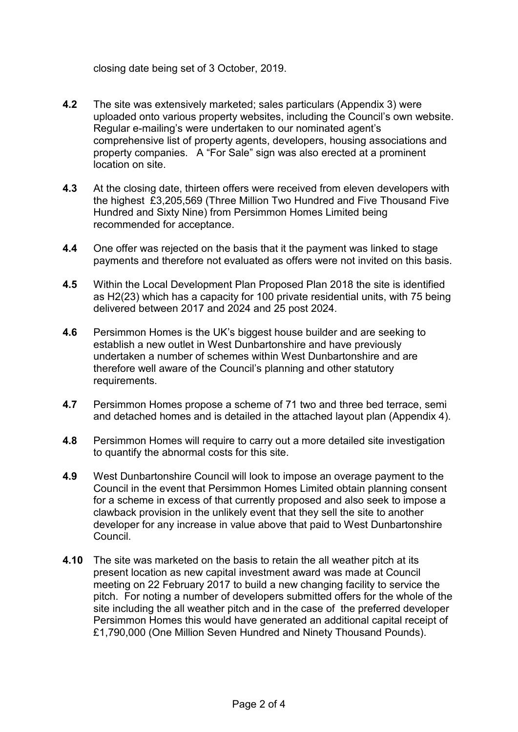closing date being set of 3 October, 2019.

- **4.2** The site was extensively marketed; sales particulars (Appendix 3) were uploaded onto various property websites, including the Council's own website. Regular e-mailing's were undertaken to our nominated agent's comprehensive list of property agents, developers, housing associations and property companies. A "For Sale" sign was also erected at a prominent location on site.
- **4.3** At the closing date, thirteen offers were received from eleven developers with the highest £3,205,569 (Three Million Two Hundred and Five Thousand Five Hundred and Sixty Nine) from Persimmon Homes Limited being recommended for acceptance.
- **4.4** One offer was rejected on the basis that it the payment was linked to stage payments and therefore not evaluated as offers were not invited on this basis.
- **4.5** Within the Local Development Plan Proposed Plan 2018 the site is identified as H2(23) which has a capacity for 100 private residential units, with 75 being delivered between 2017 and 2024 and 25 post 2024.
- **4.6** Persimmon Homes is the UK's biggest house builder and are seeking to establish a new outlet in West Dunbartonshire and have previously undertaken a number of schemes within West Dunbartonshire and are therefore well aware of the Council's planning and other statutory requirements.
- **4.7** Persimmon Homes propose a scheme of 71 two and three bed terrace, semi and detached homes and is detailed in the attached layout plan (Appendix 4).
- **4.8** Persimmon Homes will require to carry out a more detailed site investigation to quantify the abnormal costs for this site.
- **4.9** West Dunbartonshire Council will look to impose an overage payment to the Council in the event that Persimmon Homes Limited obtain planning consent for a scheme in excess of that currently proposed and also seek to impose a clawback provision in the unlikely event that they sell the site to another developer for any increase in value above that paid to West Dunbartonshire Council.
- **4.10** The site was marketed on the basis to retain the all weather pitch at its present location as new capital investment award was made at Council meeting on 22 February 2017 to build a new changing facility to service the pitch. For noting a number of developers submitted offers for the whole of the site including the all weather pitch and in the case of the preferred developer Persimmon Homes this would have generated an additional capital receipt of £1,790,000 (One Million Seven Hundred and Ninety Thousand Pounds).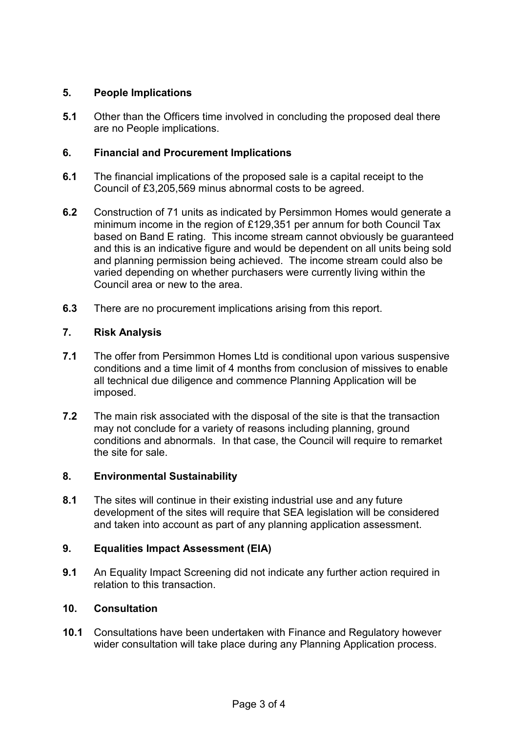## **5. People Implications**

**5.1** Other than the Officers time involved in concluding the proposed deal there are no People implications.

# **6. Financial and Procurement Implications**

- **6.1** The financial implications of the proposed sale is a capital receipt to the Council of £3,205,569 minus abnormal costs to be agreed.
- **6.2** Construction of 71 units as indicated by Persimmon Homes would generate a minimum income in the region of £129,351 per annum for both Council Tax based on Band E rating. This income stream cannot obviously be guaranteed and this is an indicative figure and would be dependent on all units being sold and planning permission being achieved. The income stream could also be varied depending on whether purchasers were currently living within the Council area or new to the area.
- **6.3** There are no procurement implications arising from this report.

# **7. Risk Analysis**

- **7.1** The offer from Persimmon Homes Ltd is conditional upon various suspensive conditions and a time limit of 4 months from conclusion of missives to enable all technical due diligence and commence Planning Application will be imposed.
- **7.2** The main risk associated with the disposal of the site is that the transaction may not conclude for a variety of reasons including planning, ground conditions and abnormals. In that case, the Council will require to remarket the site for sale.

## **8. Environmental Sustainability**

**8.1** The sites will continue in their existing industrial use and any future development of the sites will require that SEA legislation will be considered and taken into account as part of any planning application assessment.

## **9. Equalities Impact Assessment (EIA)**

**9.1** An Equality Impact Screening did not indicate any further action required in relation to this transaction.

## **10. Consultation**

**10.1** Consultations have been undertaken with Finance and Regulatory however wider consultation will take place during any Planning Application process.